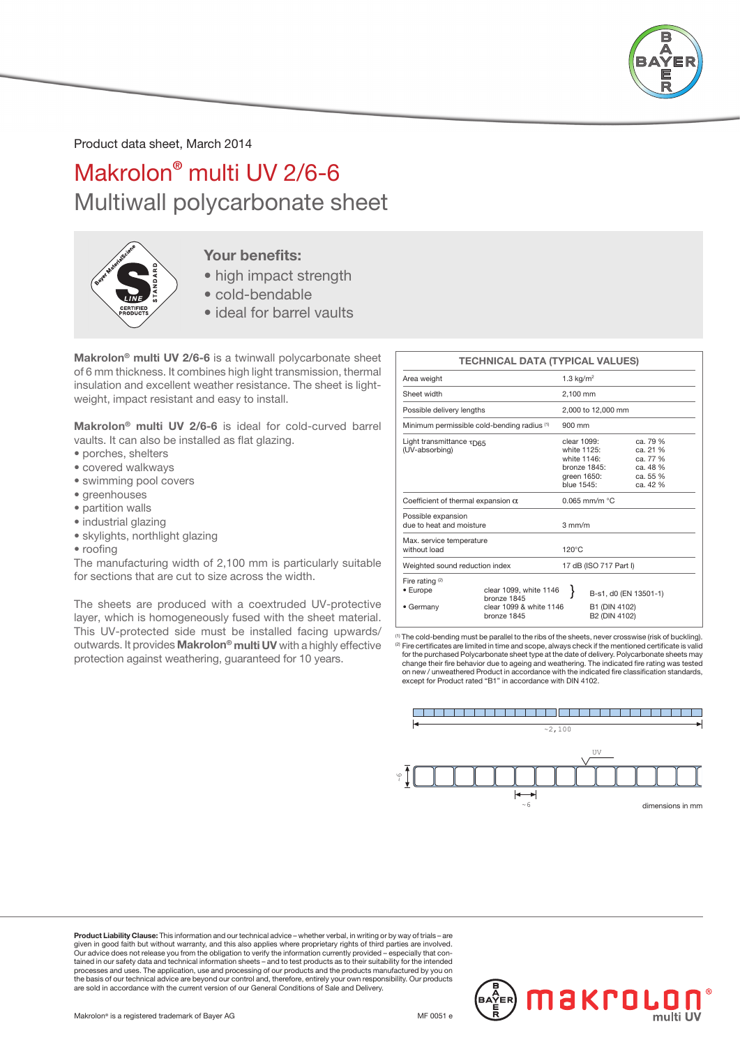

Product data sheet, March 2014

## Makrolon® multi UV 2/6-6 Multiwall polycarbonate sheet



#### Your benefits:

- high impact strength
- cold-bendable
- ideal for barrel vaults

Makrolon® multi UV 2/6-6 is a twinwall polycarbonate sheet of 6 mm thickness. It combines high light transmission, thermal insulation and excellent weather resistance. The sheet is lightweight, impact resistant and easy to install.

Makrolon® multi UV 2/6-6 is ideal for cold-curved barrel vaults. It can also be installed as flat glazing.

- porches, shelters
- covered walkways
- swimming pool covers
- greenhouses
- partition walls
- industrial glazing
- skylights, northlight glazing
- roofing

The manufacturing width of 2,100 mm is particularly suitable for sections that are cut to size across the width.

The sheets are produced with a coextruded UV-protective layer, which is homogeneously fused with the sheet material. This UV-protected side must be installed facing upwards/ outwards. It provides Makrolon® multi UV with a highly effective protection against weathering, guaranteed for 10 years.

|                                                                            | <b>TECHNICAL DATA (TYPICAL VALUES)</b>                           |                                                                                        |                                        |                                                                      |  |  |
|----------------------------------------------------------------------------|------------------------------------------------------------------|----------------------------------------------------------------------------------------|----------------------------------------|----------------------------------------------------------------------|--|--|
| Area weight                                                                |                                                                  | 1.3 $kg/m2$                                                                            |                                        |                                                                      |  |  |
| Sheet width                                                                |                                                                  | 2.100 mm                                                                               |                                        |                                                                      |  |  |
| Possible delivery lengths                                                  |                                                                  | 2,000 to 12,000 mm                                                                     |                                        |                                                                      |  |  |
| Minimum permissible cold-bending radius (1)                                |                                                                  | $900 \text{ mm}$                                                                       |                                        |                                                                      |  |  |
| Light transmittance $\tau_{\text{D65}}$<br>(UV-absorbing)                  |                                                                  | clear 1099:<br>white 1125:<br>white 1146:<br>bronze 1845:<br>green 1650:<br>blue 1545: |                                        | ca. 79 %<br>ca. 21 %<br>ca. 77 %<br>ca. 48 %<br>ca. 55 %<br>ca. 42 % |  |  |
| Coefficient of thermal expansion $\alpha$                                  |                                                                  | $0.065$ mm/m $°C$                                                                      |                                        |                                                                      |  |  |
| Possible expansion<br>due to heat and moisture<br>Max. service temperature |                                                                  | $3 \text{ mm/m}$                                                                       |                                        |                                                                      |  |  |
| without load                                                               |                                                                  | $120^{\circ}$ C                                                                        |                                        |                                                                      |  |  |
| Weighted sound reduction index                                             |                                                                  |                                                                                        | 17 dB (ISO 717 Part I)                 |                                                                      |  |  |
| Fire rating $(2)$<br>• Europe<br>• Germany                                 | clear 1099, white 1146<br>hronze 1845<br>clear 1099 & white 1146 |                                                                                        | B-s1, d0 (EN 13501-1)<br>B1 (DIN 4102) |                                                                      |  |  |
|                                                                            | bronze 1845                                                      |                                                                                        | B2 (DIN 4102)                          |                                                                      |  |  |

(1) The cold-bending must be parallel to the ribs of the sheets, never crosswise (risk of buckling). (2) Fire certificates are limited in time and scope, always check if the mentioned certificate is valid for the purchased Polycarbonate sheet type at the date of delivery. Polycarbonate sheets may change their fire behavior due to ageing and weathering. The indicated fire rating was tested on new / unweathered Product in accordance with the indicated fire classification standards, except for Product rated "B1" in accordance with DIN 4102.



Product Liability Clause: This information and our technical advice – whether verbal, in writing or by way of trials – are given in good faith but without warranty, and this also applies where proprietary rights of third parties are involved.<br>Our advice does not release you from the obligation to verify the information currently provided – esp processes and uses. The application, use and processing of our products and the products manufactured by you on the basis of our technical advice are beyond our control and, therefore, entirely your own responsibility. Our products are sold in accordance with the current version of our General Conditions of Sale and Delivery.